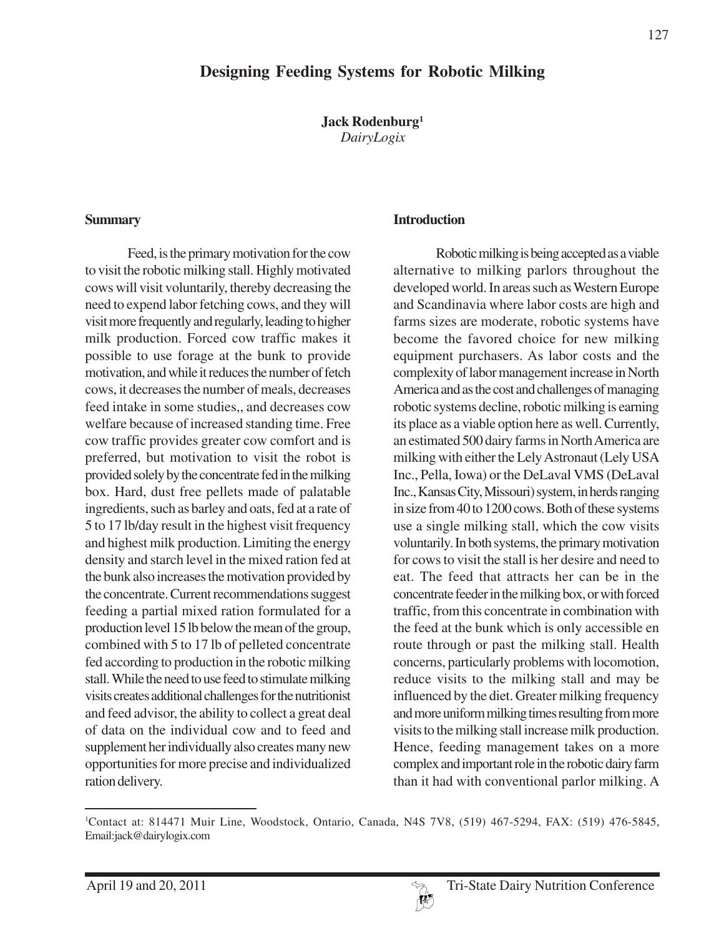# **Designing Feeding Systems for Robotic Milking**

**Jack Rodenburg1** *DairyLogix*

#### **Summary**

Feed, is the primary motivation for the cow to visit the robotic milking stall. Highly motivated cows will visit voluntarily, thereby decreasing the need to expend labor fetching cows, and they will visit more frequently and regularly, leading to higher milk production. Forced cow traffic makes it possible to use forage at the bunk to provide motivation, and while it reduces the number of fetch cows, it decreases the number of meals, decreases feed intake in some studies,, and decreases cow welfare because of increased standing time. Free cow traffic provides greater cow comfort and is preferred, but motivation to visit the robot is provided solely by the concentrate fed in the milking box. Hard, dust free pellets made of palatable ingredients, such as barley and oats, fed at a rate of 5 to 17 lb/day result in the highest visit frequency and highest milk production. Limiting the energy density and starch level in the mixed ration fed at the bunk also increases the motivation provided by the concentrate. Current recommendations suggest feeding a partial mixed ration formulated for a production level 15 lb below the mean of the group, combined with 5 to 17 lb of pelleted concentrate fed according to production in the robotic milking stall. While the need to use feed to stimulate milking visits creates additional challenges for the nutritionist and feed advisor, the ability to collect a great deal of data on the individual cow and to feed and supplement her individually also creates many new opportunities for more precise and individualized ration delivery.

#### **Introduction**

Robotic milking is being accepted as a viable alternative to milking parlors throughout the developed world. In areas such as Western Europe and Scandinavia where labor costs are high and farms sizes are moderate, robotic systems have become the favored choice for new milking equipment purchasers. As labor costs and the complexity of labor management increase in North America and as the cost and challenges of managing robotic systems decline, robotic milking is earning its place as a viable option here as well. Currently, an estimated 500 dairy farms in North America are milking with either the Lely Astronaut (Lely USA Inc., Pella, Iowa) or the DeLaval VMS (DeLaval Inc., Kansas City, Missouri) system, in herds ranging in size from 40 to 1200 cows. Both of these systems use a single milking stall, which the cow visits voluntarily. In both systems, the primary motivation for cows to visit the stall is her desire and need to eat. The feed that attracts her can be in the concentrate feeder in the milking box, or with forced traffic, from this concentrate in combination with the feed at the bunk which is only accessible en route through or past the milking stall. Health concerns, particularly problems with locomotion, reduce visits to the milking stall and may be influenced by the diet. Greater milking frequency and more uniform milking times resulting from more visits to the milking stall increase milk production. Hence, feeding management takes on a more complex and important role in the robotic dairy farm than it had with conventional parlor milking. A

<sup>1</sup> Contact at: 814471 Muir Line, Woodstock, Ontario, Canada, N4S 7V8, (519) 467-5294, FAX: (519) 476-5845, Email:jack@dairylogix.com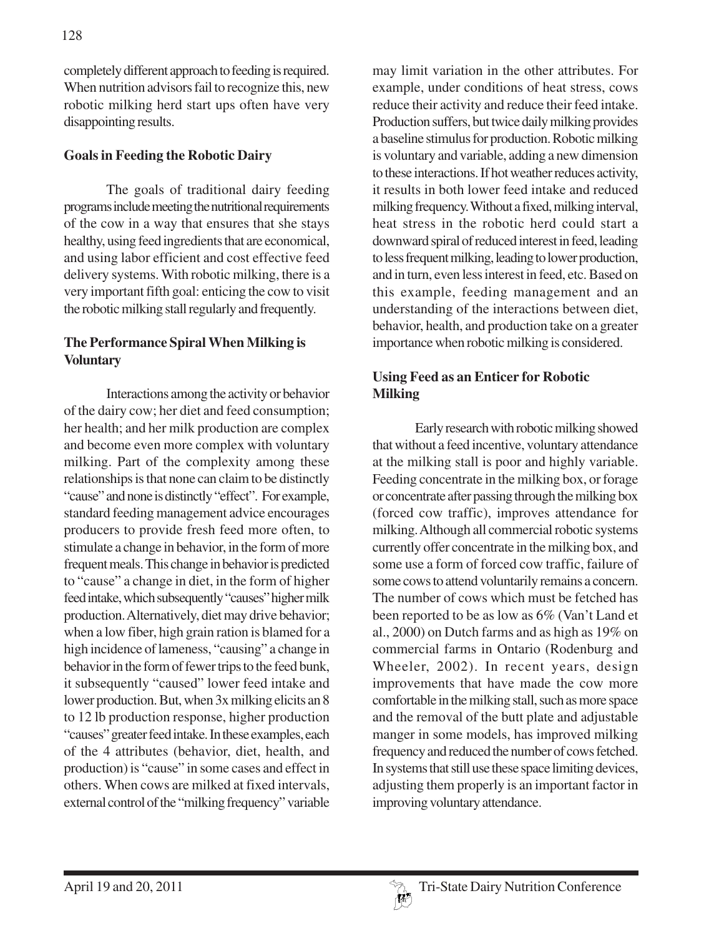completely different approach to feeding is required. When nutrition advisors fail to recognize this, new robotic milking herd start ups often have very disappointing results.

### **Goals in Feeding the Robotic Dairy**

The goals of traditional dairy feeding programs include meeting the nutritional requirements of the cow in a way that ensures that she stays healthy, using feed ingredients that are economical, and using labor efficient and cost effective feed delivery systems. With robotic milking, there is a very important fifth goal: enticing the cow to visit the robotic milking stall regularly and frequently.

### **The Performance Spiral When Milking is Voluntary**

Interactions among the activity or behavior of the dairy cow; her diet and feed consumption; her health; and her milk production are complex and become even more complex with voluntary milking. Part of the complexity among these relationships is that none can claim to be distinctly "cause" and none is distinctly "effect". For example, standard feeding management advice encourages producers to provide fresh feed more often, to stimulate a change in behavior, in the form of more frequent meals. This change in behavior is predicted to "cause" a change in diet, in the form of higher feed intake, which subsequently "causes" higher milk production. Alternatively, diet may drive behavior; when a low fiber, high grain ration is blamed for a high incidence of lameness, "causing" a change in behavior in the form of fewer trips to the feed bunk, it subsequently "caused" lower feed intake and lower production. But, when 3x milking elicits an 8 to 12 lb production response, higher production "causes" greater feed intake. In these examples, each of the 4 attributes (behavior, diet, health, and production) is "cause" in some cases and effect in others. When cows are milked at fixed intervals, external control of the "milking frequency" variable

may limit variation in the other attributes. For example, under conditions of heat stress, cows reduce their activity and reduce their feed intake. Production suffers, but twice daily milking provides a baseline stimulus for production. Robotic milking is voluntary and variable, adding a new dimension to these interactions. If hot weather reduces activity, it results in both lower feed intake and reduced milking frequency. Without a fixed, milking interval, heat stress in the robotic herd could start a downward spiral of reduced interest in feed, leading to less frequent milking, leading to lower production, and in turn, even less interest in feed, etc. Based on this example, feeding management and an understanding of the interactions between diet, behavior, health, and production take on a greater importance when robotic milking is considered.

## **Using Feed as an Enticer for Robotic Milking**

Early research with robotic milking showed that without a feed incentive, voluntary attendance at the milking stall is poor and highly variable. Feeding concentrate in the milking box, or forage or concentrate after passing through the milking box (forced cow traffic), improves attendance for milking. Although all commercial robotic systems currently offer concentrate in the milking box, and some use a form of forced cow traffic, failure of some cows to attend voluntarily remains a concern. The number of cows which must be fetched has been reported to be as low as 6% (Van't Land et al., 2000) on Dutch farms and as high as 19% on commercial farms in Ontario (Rodenburg and Wheeler, 2002). In recent years, design improvements that have made the cow more comfortable in the milking stall, such as more space and the removal of the butt plate and adjustable manger in some models, has improved milking frequency and reduced the number of cows fetched. In systems that still use these space limiting devices, adjusting them properly is an important factor in improving voluntary attendance.

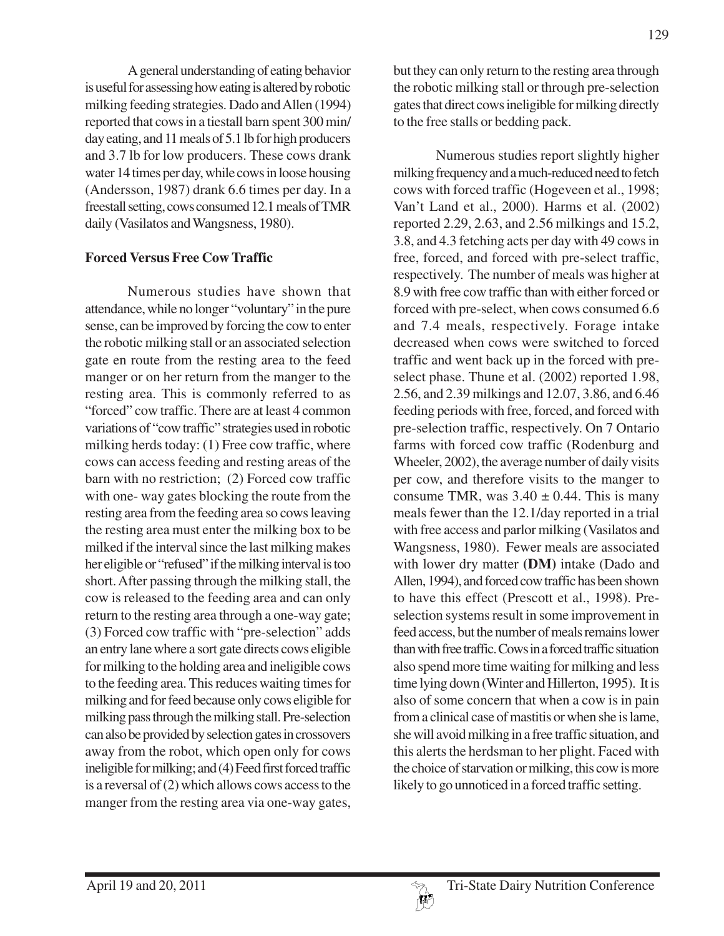A general understanding of eating behavior is useful for assessing how eating is altered by robotic milking feeding strategies. Dado and Allen (1994) reported that cows in a tiestall barn spent 300 min/ day eating, and 11 meals of 5.1 lb for high producers and 3.7 lb for low producers. These cows drank water 14 times per day, while cows in loose housing (Andersson, 1987) drank 6.6 times per day. In a freestall setting, cows consumed 12.1 meals of TMR daily (Vasilatos and Wangsness, 1980).

#### **Forced Versus Free Cow Traffic**

Numerous studies have shown that attendance, while no longer "voluntary" in the pure sense, can be improved by forcing the cow to enter the robotic milking stall or an associated selection gate en route from the resting area to the feed manger or on her return from the manger to the resting area. This is commonly referred to as "forced" cow traffic. There are at least 4 common variations of "cow traffic" strategies used in robotic milking herds today: (1) Free cow traffic, where cows can access feeding and resting areas of the barn with no restriction; (2) Forced cow traffic with one- way gates blocking the route from the resting area from the feeding area so cows leaving the resting area must enter the milking box to be milked if the interval since the last milking makes her eligible or "refused" if the milking interval is too short. After passing through the milking stall, the cow is released to the feeding area and can only return to the resting area through a one-way gate; (3) Forced cow traffic with "pre-selection" adds an entry lane where a sort gate directs cows eligible for milking to the holding area and ineligible cows to the feeding area. This reduces waiting times for milking and for feed because only cows eligible for milking pass through the milking stall. Pre-selection can also be provided by selection gates in crossovers away from the robot, which open only for cows ineligible for milking; and (4) Feed first forced traffic is a reversal of (2) which allows cows access to the manger from the resting area via one-way gates,

129

but they can only return to the resting area through the robotic milking stall or through pre-selection gates that direct cows ineligible for milking directly to the free stalls or bedding pack.

Numerous studies report slightly higher milking frequency and a much-reduced need to fetch cows with forced traffic (Hogeveen et al., 1998; Van't Land et al., 2000). Harms et al. (2002) reported 2.29, 2.63, and 2.56 milkings and 15.2, 3.8, and 4.3 fetching acts per day with 49 cows in free, forced, and forced with pre-select traffic, respectively. The number of meals was higher at 8.9 with free cow traffic than with either forced or forced with pre-select, when cows consumed 6.6 and 7.4 meals, respectively. Forage intake decreased when cows were switched to forced traffic and went back up in the forced with preselect phase. Thune et al. (2002) reported 1.98, 2.56, and 2.39 milkings and 12.07, 3.86, and 6.46 feeding periods with free, forced, and forced with pre-selection traffic, respectively. On 7 Ontario farms with forced cow traffic (Rodenburg and Wheeler, 2002), the average number of daily visits per cow, and therefore visits to the manger to consume TMR, was  $3.40 \pm 0.44$ . This is many meals fewer than the 12.1/day reported in a trial with free access and parlor milking (Vasilatos and Wangsness, 1980). Fewer meals are associated with lower dry matter **(DM)** intake (Dado and Allen, 1994), and forced cow traffic has been shown to have this effect (Prescott et al., 1998). Preselection systems result in some improvement in feed access, but the number of meals remains lower than with free traffic. Cows in a forced traffic situation also spend more time waiting for milking and less time lying down (Winter and Hillerton, 1995). It is also of some concern that when a cow is in pain from a clinical case of mastitis or when she is lame, she will avoid milking in a free traffic situation, and this alerts the herdsman to her plight. Faced with the choice of starvation or milking, this cow is more likely to go unnoticed in a forced traffic setting.

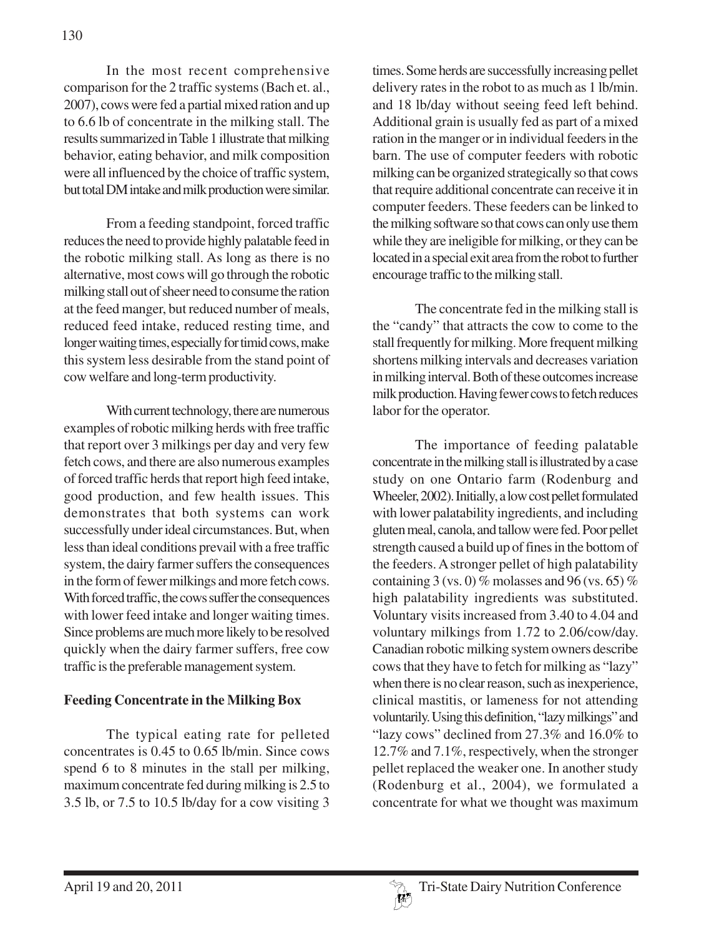In the most recent comprehensive comparison for the 2 traffic systems (Bach et. al., 2007), cows were fed a partial mixed ration and up to 6.6 lb of concentrate in the milking stall. The results summarized in Table 1 illustrate that milking behavior, eating behavior, and milk composition were all influenced by the choice of traffic system, but total DM intake and milk production were similar.

From a feeding standpoint, forced traffic reduces the need to provide highly palatable feed in the robotic milking stall. As long as there is no alternative, most cows will go through the robotic milking stall out of sheer need to consume the ration at the feed manger, but reduced number of meals, reduced feed intake, reduced resting time, and longer waiting times, especially for timid cows, make this system less desirable from the stand point of cow welfare and long-term productivity.

With current technology, there are numerous examples of robotic milking herds with free traffic that report over 3 milkings per day and very few fetch cows, and there are also numerous examples of forced traffic herds that report high feed intake, good production, and few health issues. This demonstrates that both systems can work successfully under ideal circumstances. But, when less than ideal conditions prevail with a free traffic system, the dairy farmer suffers the consequences in the form of fewer milkings and more fetch cows. With forced traffic, the cows suffer the consequences with lower feed intake and longer waiting times. Since problems are much more likely to be resolved quickly when the dairy farmer suffers, free cow traffic is the preferable management system.

## **Feeding Concentrate in the Milking Box**

The typical eating rate for pelleted concentrates is 0.45 to 0.65 lb/min. Since cows spend 6 to 8 minutes in the stall per milking, maximum concentrate fed during milking is 2.5 to 3.5 lb, or 7.5 to 10.5 lb/day for a cow visiting 3

times. Some herds are successfully increasing pellet delivery rates in the robot to as much as 1 lb/min. and 18 lb/day without seeing feed left behind. Additional grain is usually fed as part of a mixed ration in the manger or in individual feeders in the barn. The use of computer feeders with robotic milking can be organized strategically so that cows that require additional concentrate can receive it in computer feeders. These feeders can be linked to the milking software so that cows can only use them while they are ineligible for milking, or they can be located in a special exit area from the robot to further encourage traffic to the milking stall.

The concentrate fed in the milking stall is the "candy" that attracts the cow to come to the stall frequently for milking. More frequent milking shortens milking intervals and decreases variation in milking interval. Both of these outcomes increase milk production. Having fewer cows to fetch reduces labor for the operator.

The importance of feeding palatable concentrate in the milking stall is illustrated by a case study on one Ontario farm (Rodenburg and Wheeler, 2002). Initially, a low cost pellet formulated with lower palatability ingredients, and including gluten meal, canola, and tallow were fed. Poor pellet strength caused a build up of fines in the bottom of the feeders. A stronger pellet of high palatability containing 3 (vs. 0) % molasses and 96 (vs. 65) % high palatability ingredients was substituted. Voluntary visits increased from 3.40 to 4.04 and voluntary milkings from 1.72 to 2.06/cow/day. Canadian robotic milking system owners describe cows that they have to fetch for milking as "lazy" when there is no clear reason, such as inexperience, clinical mastitis, or lameness for not attending voluntarily. Using this definition, "lazy milkings" and "lazy cows" declined from 27.3% and 16.0% to 12.7% and 7.1%, respectively, when the stronger pellet replaced the weaker one. In another study (Rodenburg et al., 2004), we formulated a concentrate for what we thought was maximum

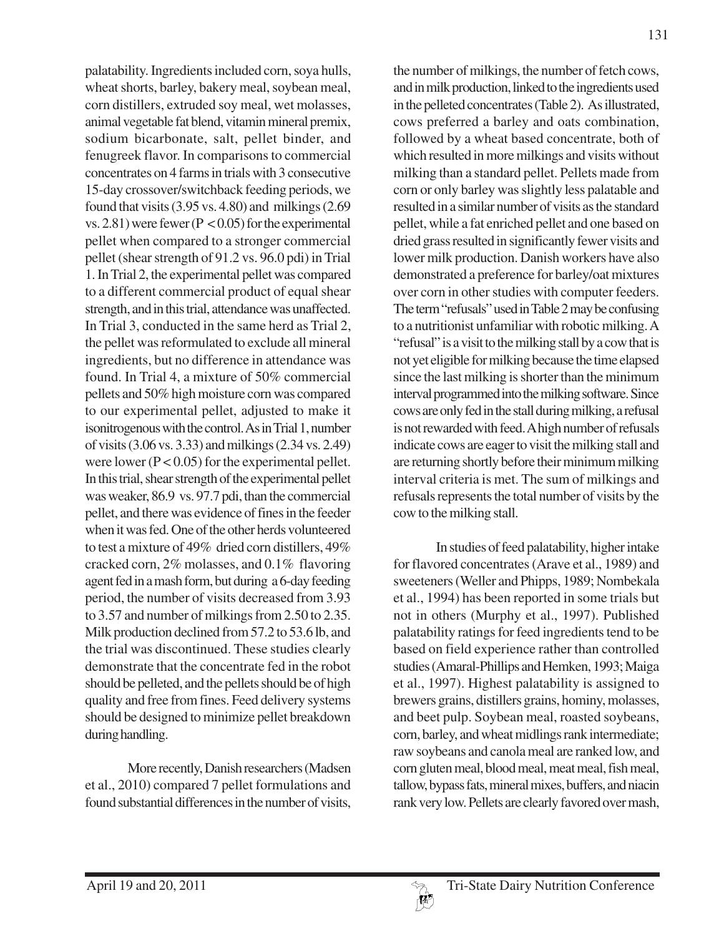palatability. Ingredients included corn, soya hulls, wheat shorts, barley, bakery meal, soybean meal, corn distillers, extruded soy meal, wet molasses, animal vegetable fat blend, vitamin mineral premix, sodium bicarbonate, salt, pellet binder, and fenugreek flavor. In comparisons to commercial concentrates on 4 farms in trials with 3 consecutive 15-day crossover/switchback feeding periods, we found that visits (3.95 vs. 4.80) and milkings (2.69 vs.  $2.81$ ) were fewer (P < 0.05) for the experimental pellet when compared to a stronger commercial pellet (shear strength of 91.2 vs. 96.0 pdi) in Trial 1. In Trial 2, the experimental pellet was compared to a different commercial product of equal shear strength, and in this trial, attendance was unaffected. In Trial 3, conducted in the same herd as Trial 2, the pellet was reformulated to exclude all mineral ingredients, but no difference in attendance was found. In Trial 4, a mixture of 50% commercial pellets and 50% high moisture corn was compared to our experimental pellet, adjusted to make it isonitrogenous with the control. As in Trial 1, number of visits (3.06 vs. 3.33) and milkings (2.34 vs. 2.49) were lower ( $P < 0.05$ ) for the experimental pellet. In this trial, shear strength of the experimental pellet was weaker, 86.9 vs. 97.7 pdi, than the commercial pellet, and there was evidence of fines in the feeder when it was fed. One of the other herds volunteered to test a mixture of 49% dried corn distillers, 49% cracked corn, 2% molasses, and 0.1% flavoring agent fed in a mash form, but during a 6-day feeding period, the number of visits decreased from 3.93 to 3.57 and number of milkings from 2.50 to 2.35. Milk production declined from 57.2 to 53.6 lb, and the trial was discontinued. These studies clearly demonstrate that the concentrate fed in the robot should be pelleted, and the pellets should be of high quality and free from fines. Feed delivery systems should be designed to minimize pellet breakdown during handling.

More recently, Danish researchers (Madsen et al., 2010) compared 7 pellet formulations and found substantial differences in the number of visits,

the number of milkings, the number of fetch cows, and in milk production, linked to the ingredients used in the pelleted concentrates (Table 2). As illustrated, cows preferred a barley and oats combination, followed by a wheat based concentrate, both of which resulted in more milkings and visits without milking than a standard pellet. Pellets made from corn or only barley was slightly less palatable and resulted in a similar number of visits as the standard pellet, while a fat enriched pellet and one based on dried grass resulted in significantly fewer visits and lower milk production. Danish workers have also demonstrated a preference for barley/oat mixtures over corn in other studies with computer feeders. The term "refusals" used in Table 2 may be confusing to a nutritionist unfamiliar with robotic milking. A "refusal" is a visit to the milking stall by a cow that is not yet eligible for milking because the time elapsed since the last milking is shorter than the minimum interval programmed into the milking software. Since cows are only fed in the stall during milking, a refusal is not rewarded with feed. A high number of refusals indicate cows are eager to visit the milking stall and are returning shortly before their minimum milking interval criteria is met. The sum of milkings and refusals represents the total number of visits by the cow to the milking stall.

In studies of feed palatability, higher intake for flavored concentrates (Arave et al., 1989) and sweeteners (Weller and Phipps, 1989; Nombekala et al., 1994) has been reported in some trials but not in others (Murphy et al., 1997). Published palatability ratings for feed ingredients tend to be based on field experience rather than controlled studies (Amaral-Phillips and Hemken, 1993; Maiga et al., 1997). Highest palatability is assigned to brewers grains, distillers grains, hominy, molasses, and beet pulp. Soybean meal, roasted soybeans, corn, barley, and wheat midlings rank intermediate; raw soybeans and canola meal are ranked low, and corn gluten meal, blood meal, meat meal, fish meal, tallow, bypass fats, mineral mixes, buffers, and niacin rank very low. Pellets are clearly favored over mash,

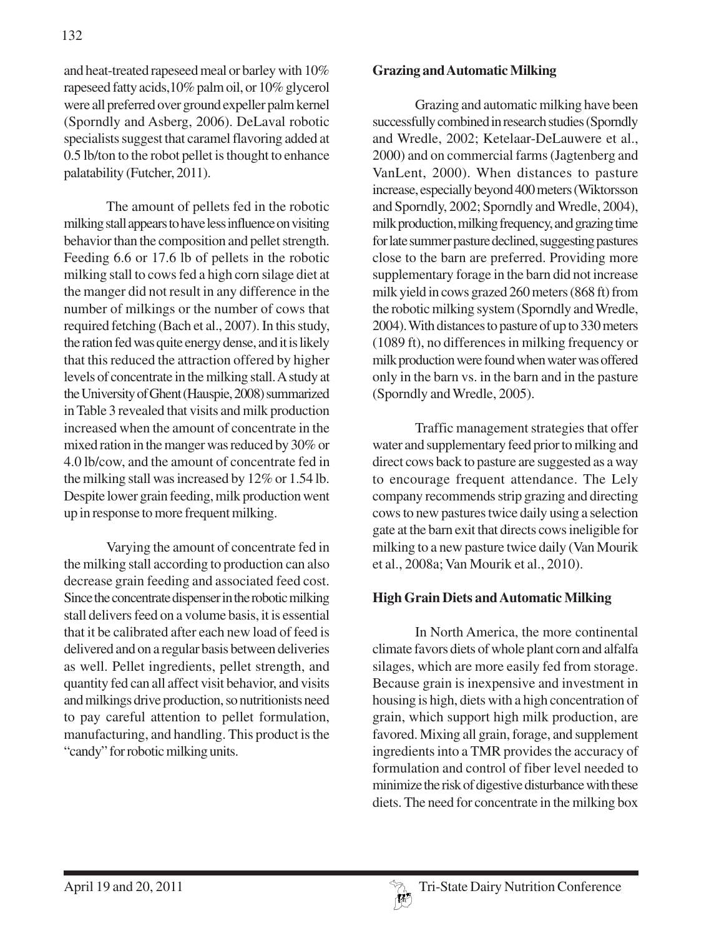and heat-treated rapeseed meal or barley with 10% rapeseed fatty acids,10% palm oil, or 10% glycerol were all preferred over ground expeller palm kernel (Sporndly and Asberg, 2006). DeLaval robotic specialists suggest that caramel flavoring added at 0.5 lb/ton to the robot pellet is thought to enhance palatability (Futcher, 2011).

The amount of pellets fed in the robotic milking stall appears to have less influence on visiting behavior than the composition and pellet strength. Feeding 6.6 or 17.6 lb of pellets in the robotic milking stall to cows fed a high corn silage diet at the manger did not result in any difference in the number of milkings or the number of cows that required fetching (Bach et al., 2007). In this study, the ration fed was quite energy dense, and it is likely that this reduced the attraction offered by higher levels of concentrate in the milking stall. A study at the University of Ghent (Hauspie, 2008) summarized in Table 3 revealed that visits and milk production increased when the amount of concentrate in the mixed ration in the manger was reduced by 30% or 4.0 lb/cow, and the amount of concentrate fed in the milking stall was increased by 12% or 1.54 lb. Despite lower grain feeding, milk production went up in response to more frequent milking.

Varying the amount of concentrate fed in the milking stall according to production can also decrease grain feeding and associated feed cost. Since the concentrate dispenser in the robotic milking stall delivers feed on a volume basis, it is essential that it be calibrated after each new load of feed is delivered and on a regular basis between deliveries as well. Pellet ingredients, pellet strength, and quantity fed can all affect visit behavior, and visits and milkings drive production, so nutritionists need to pay careful attention to pellet formulation, manufacturing, and handling. This product is the "candy" for robotic milking units.

#### **Grazing and Automatic Milking**

Grazing and automatic milking have been successfully combined in research studies (Sporndly and Wredle, 2002; Ketelaar-DeLauwere et al., 2000) and on commercial farms (Jagtenberg and VanLent, 2000). When distances to pasture increase, especially beyond 400 meters (Wiktorsson and Sporndly, 2002; Sporndly and Wredle, 2004), milk production, milking frequency, and grazing time for late summer pasture declined, suggesting pastures close to the barn are preferred. Providing more supplementary forage in the barn did not increase milk yield in cows grazed 260 meters (868 ft) from the robotic milking system (Sporndly and Wredle, 2004). With distances to pasture of up to 330 meters (1089 ft), no differences in milking frequency or milk production were found when water was offered only in the barn vs. in the barn and in the pasture (Sporndly and Wredle, 2005).

Traffic management strategies that offer water and supplementary feed prior to milking and direct cows back to pasture are suggested as a way to encourage frequent attendance. The Lely company recommends strip grazing and directing cows to new pastures twice daily using a selection gate at the barn exit that directs cows ineligible for milking to a new pasture twice daily (Van Mourik et al., 2008a; Van Mourik et al., 2010).

#### **High Grain Diets and Automatic Milking**

In North America, the more continental climate favors diets of whole plant corn and alfalfa silages, which are more easily fed from storage. Because grain is inexpensive and investment in housing is high, diets with a high concentration of grain, which support high milk production, are favored. Mixing all grain, forage, and supplement ingredients into a TMR provides the accuracy of formulation and control of fiber level needed to minimize the risk of digestive disturbance with these diets. The need for concentrate in the milking box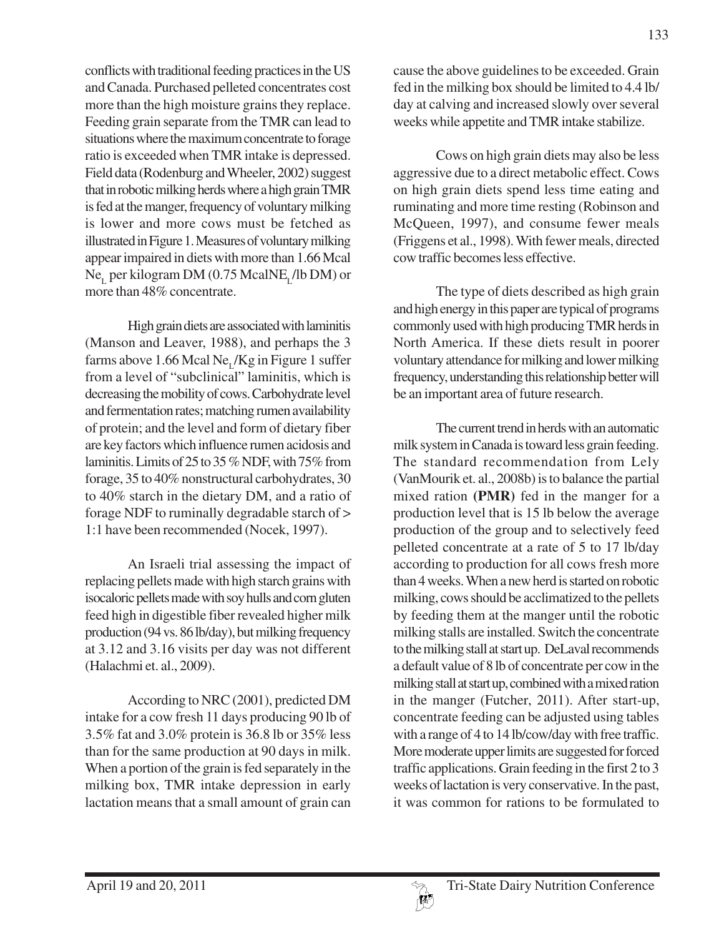conflicts with traditional feeding practices in the US and Canada. Purchased pelleted concentrates cost more than the high moisture grains they replace. Feeding grain separate from the TMR can lead to situations where the maximum concentrate to forage ratio is exceeded when TMR intake is depressed. Field data (Rodenburg and Wheeler, 2002) suggest that in robotic milking herds where a high grain TMR is fed at the manger, frequency of voluntary milking is lower and more cows must be fetched as illustrated in Figure 1. Measures of voluntary milking appear impaired in diets with more than 1.66 Mcal Ne<sub>r</sub> per kilogram DM (0.75 McalNE<sub>r</sub>/lb DM) or more than 48% concentrate.

High grain diets are associated with laminitis (Manson and Leaver, 1988), and perhaps the 3 farms above 1.66 Mcal Ne<sub>r</sub>/Kg in Figure 1 suffer from a level of "subclinical" laminitis, which is decreasing the mobility of cows. Carbohydrate level and fermentation rates; matching rumen availability of protein; and the level and form of dietary fiber are key factors which influence rumen acidosis and laminitis. Limits of 25 to 35 % NDF, with 75% from forage, 35 to 40% nonstructural carbohydrates, 30 to 40% starch in the dietary DM, and a ratio of forage NDF to ruminally degradable starch of > 1:1 have been recommended (Nocek, 1997).

An Israeli trial assessing the impact of replacing pellets made with high starch grains with isocaloric pellets made with soy hulls and corn gluten feed high in digestible fiber revealed higher milk production (94 vs. 86 lb/day), but milking frequency at 3.12 and 3.16 visits per day was not different (Halachmi et. al., 2009).

According to NRC (2001), predicted DM intake for a cow fresh 11 days producing 90 lb of 3.5% fat and 3.0% protein is 36.8 lb or 35% less than for the same production at 90 days in milk. When a portion of the grain is fed separately in the milking box, TMR intake depression in early lactation means that a small amount of grain can

cause the above guidelines to be exceeded. Grain fed in the milking box should be limited to 4.4 lb/ day at calving and increased slowly over several weeks while appetite and TMR intake stabilize.

Cows on high grain diets may also be less aggressive due to a direct metabolic effect. Cows on high grain diets spend less time eating and ruminating and more time resting (Robinson and McQueen, 1997), and consume fewer meals (Friggens et al., 1998). With fewer meals, directed cow traffic becomes less effective.

The type of diets described as high grain and high energy in this paper are typical of programs commonly used with high producing TMR herds in North America. If these diets result in poorer voluntary attendance for milking and lower milking frequency, understanding this relationship better will be an important area of future research.

The current trend in herds with an automatic milk system in Canada is toward less grain feeding. The standard recommendation from Lely (VanMourik et. al., 2008b) is to balance the partial mixed ration **(PMR)** fed in the manger for a production level that is 15 lb below the average production of the group and to selectively feed pelleted concentrate at a rate of 5 to 17 lb/day according to production for all cows fresh more than 4 weeks. When a new herd is started on robotic milking, cows should be acclimatized to the pellets by feeding them at the manger until the robotic milking stalls are installed. Switch the concentrate to the milking stall at start up. DeLaval recommends a default value of 8 lb of concentrate per cow in the milking stall at start up, combined with a mixed ration in the manger (Futcher, 2011). After start-up, concentrate feeding can be adjusted using tables with a range of 4 to 14 lb/cow/day with free traffic. More moderate upper limits are suggested for forced traffic applications. Grain feeding in the first 2 to 3 weeks of lactation is very conservative. In the past, it was common for rations to be formulated to

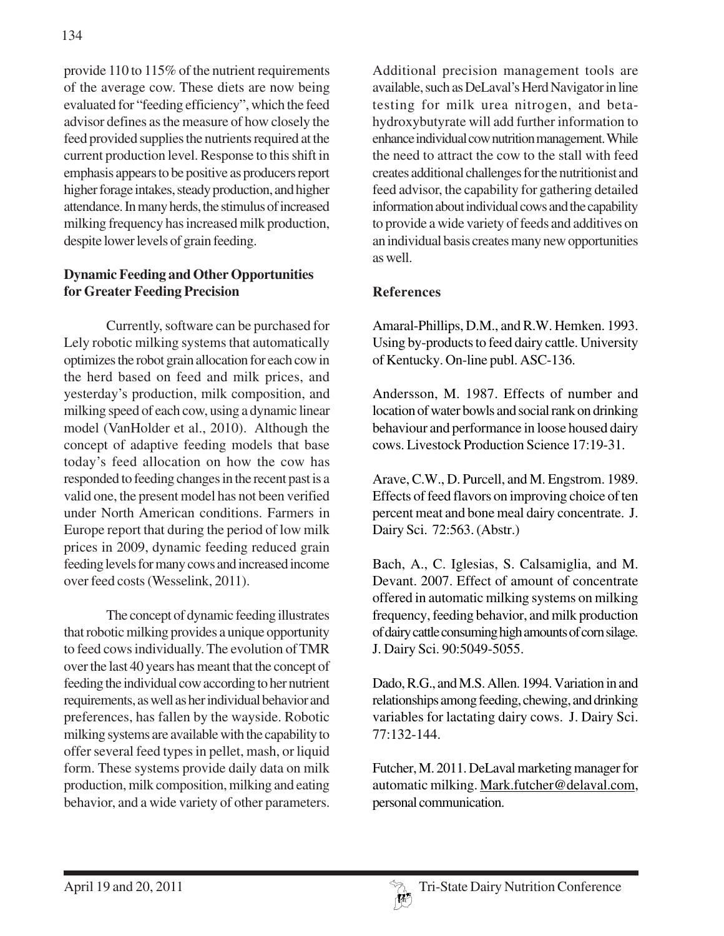provide 110 to 115% of the nutrient requirements of the average cow. These diets are now being evaluated for "feeding efficiency", which the feed advisor defines as the measure of how closely the feed provided supplies the nutrients required at the current production level. Response to this shift in emphasis appears to be positive as producers report higher forage intakes, steady production, and higher attendance. In many herds, the stimulus of increased milking frequency has increased milk production, despite lower levels of grain feeding.

## **Dynamic Feeding and Other Opportunities for Greater Feeding Precision**

Currently, software can be purchased for Lely robotic milking systems that automatically optimizes the robot grain allocation for each cow in the herd based on feed and milk prices, and yesterday's production, milk composition, and milking speed of each cow, using a dynamic linear model (VanHolder et al., 2010). Although the concept of adaptive feeding models that base today's feed allocation on how the cow has responded to feeding changes in the recent past is a valid one, the present model has not been verified under North American conditions. Farmers in Europe report that during the period of low milk prices in 2009, dynamic feeding reduced grain feeding levels for many cows and increased income over feed costs (Wesselink, 2011).

The concept of dynamic feeding illustrates that robotic milking provides a unique opportunity to feed cows individually. The evolution of TMR over the last 40 years has meant that the concept of feeding the individual cow according to her nutrient requirements, as well as her individual behavior and preferences, has fallen by the wayside. Robotic milking systems are available with the capability to offer several feed types in pellet, mash, or liquid form. These systems provide daily data on milk production, milk composition, milking and eating behavior, and a wide variety of other parameters.

Additional precision management tools are available, such as DeLaval's Herd Navigator in line testing for milk urea nitrogen, and betahydroxybutyrate will add further information to enhance individual cow nutrition management. While the need to attract the cow to the stall with feed creates additional challenges for the nutritionist and feed advisor, the capability for gathering detailed information about individual cows and the capability to provide a wide variety of feeds and additives on an individual basis creates many new opportunities as well.

# **References**

Amaral-Phillips, D.M., and R.W. Hemken. 1993. Using by-products to feed dairy cattle. University of Kentucky. On-line publ. ASC-136.

Andersson, M. 1987. Effects of number and location of water bowls and social rank on drinking behaviour and performance in loose housed dairy cows. Livestock Production Science 17:19-31.

Arave, C.W., D. Purcell, and M. Engstrom. 1989. Effects of feed flavors on improving choice of ten percent meat and bone meal dairy concentrate. J. Dairy Sci. 72:563. (Abstr.)

Bach, A., C. Iglesias, S. Calsamiglia, and M. Devant. 2007. Effect of amount of concentrate offered in automatic milking systems on milking frequency, feeding behavior, and milk production of dairy cattle consuming high amounts of corn silage. J. Dairy Sci. 90:5049-5055.

Dado, R.G., and M.S. Allen. 1994. Variation in and relationships among feeding, chewing, and drinking variables for lactating dairy cows. J. Dairy Sci. 77:132-144.

Futcher, M. 2011. DeLaval marketing manager for automatic milking. Mark.futcher@delaval.com, personal communication.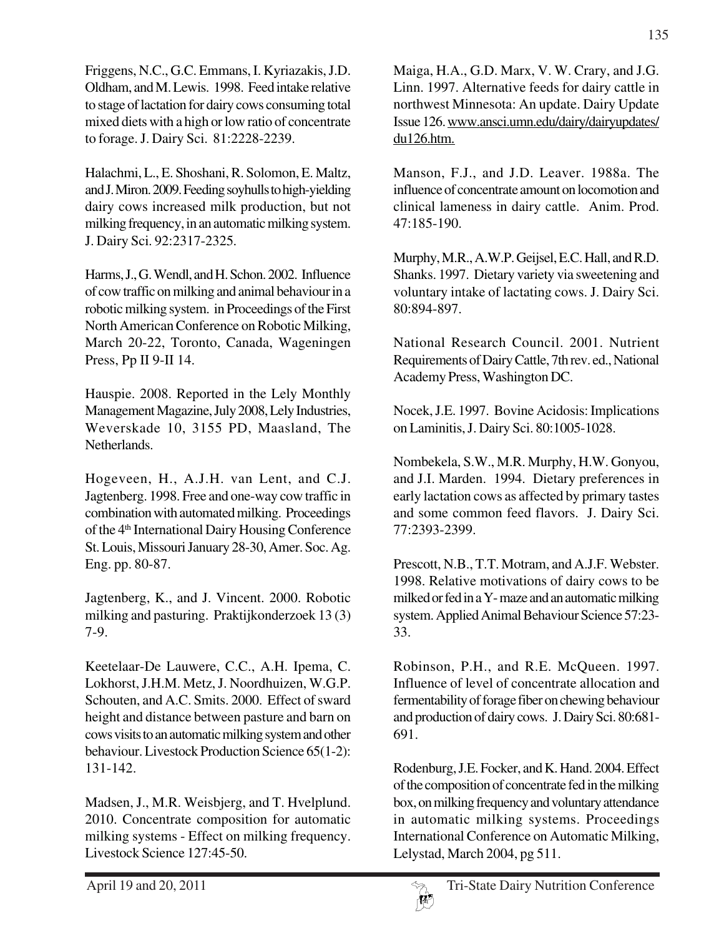Friggens, N.C., G.C. Emmans, I. Kyriazakis, J.D. Oldham, and M. Lewis. 1998. Feed intake relative to stage of lactation for dairy cows consuming total mixed diets with a high or low ratio of concentrate to forage. J. Dairy Sci. 81:2228-2239.

Halachmi, L., E. Shoshani, R. Solomon, E. Maltz, and J. Miron. 2009. Feeding soyhulls to high-yielding dairy cows increased milk production, but not milking frequency, in an automatic milking system. J. Dairy Sci. 92:2317-2325.

Harms, J., G. Wendl, and H. Schon. 2002. Influence of cow traffic on milking and animal behaviour in a robotic milking system. in Proceedings of the First North American Conference on Robotic Milking, March 20-22, Toronto, Canada, Wageningen Press, Pp II 9-II 14.

Hauspie. 2008. Reported in the Lely Monthly Management Magazine, July 2008, Lely Industries, Weverskade 10, 3155 PD, Maasland, The Netherlands.

Hogeveen, H., A.J.H. van Lent, and C.J. Jagtenberg. 1998. Free and one-way cow traffic in combination with automated milking. Proceedings of the 4th International Dairy Housing Conference St. Louis, Missouri January 28-30, Amer. Soc. Ag. Eng. pp. 80-87.

Jagtenberg, K., and J. Vincent. 2000. Robotic milking and pasturing. Praktijkonderzoek 13 (3) 7-9.

Keetelaar-De Lauwere, C.C., A.H. Ipema, C. Lokhorst, J.H.M. Metz, J. Noordhuizen, W.G.P. Schouten, and A.C. Smits. 2000. Effect of sward height and distance between pasture and barn on cows visits to an automatic milking system and other behaviour. Livestock Production Science 65(1-2): 131-142.

Madsen, J., M.R. Weisbjerg, and T. Hvelplund. 2010. Concentrate composition for automatic milking systems - Effect on milking frequency. Livestock Science 127:45-50.

Maiga, H.A., G.D. Marx, V. W. Crary, and J.G. Linn. 1997. Alternative feeds for dairy cattle in northwest Minnesota: An update. Dairy Update Issue 126. www.ansci.umn.edu/dairy/dairyupdates/ du126.htm.

Manson, F.J., and J.D. Leaver. 1988a. The influence of concentrate amount on locomotion and clinical lameness in dairy cattle. Anim. Prod. 47:185-190.

Murphy, M.R., A.W.P. Geijsel, E.C. Hall, and R.D. Shanks. 1997. Dietary variety via sweetening and voluntary intake of lactating cows. J. Dairy Sci. 80:894-897.

National Research Council. 2001. Nutrient Requirements of Dairy Cattle, 7th rev. ed., National Academy Press, Washington DC.

Nocek, J.E. 1997. Bovine Acidosis: Implications on Laminitis, J. Dairy Sci. 80:1005-1028.

Nombekela, S.W., M.R. Murphy, H.W. Gonyou, and J.I. Marden. 1994. Dietary preferences in early lactation cows as affected by primary tastes and some common feed flavors. J. Dairy Sci. 77:2393-2399.

Prescott, N.B., T.T. Motram, and A.J.F. Webster. 1998. Relative motivations of dairy cows to be milked or fed in a Y- maze and an automatic milking system. Applied Animal Behaviour Science 57:23- 33.

Robinson, P.H., and R.E. McQueen. 1997. Influence of level of concentrate allocation and fermentability of forage fiber on chewing behaviour and production of dairy cows. J. Dairy Sci. 80:681- 691.

Rodenburg, J.E. Focker, and K. Hand. 2004. Effect of the composition of concentrate fed in the milking box, on milking frequency and voluntary attendance in automatic milking systems. Proceedings International Conference on Automatic Milking, Lelystad, March 2004, pg 511.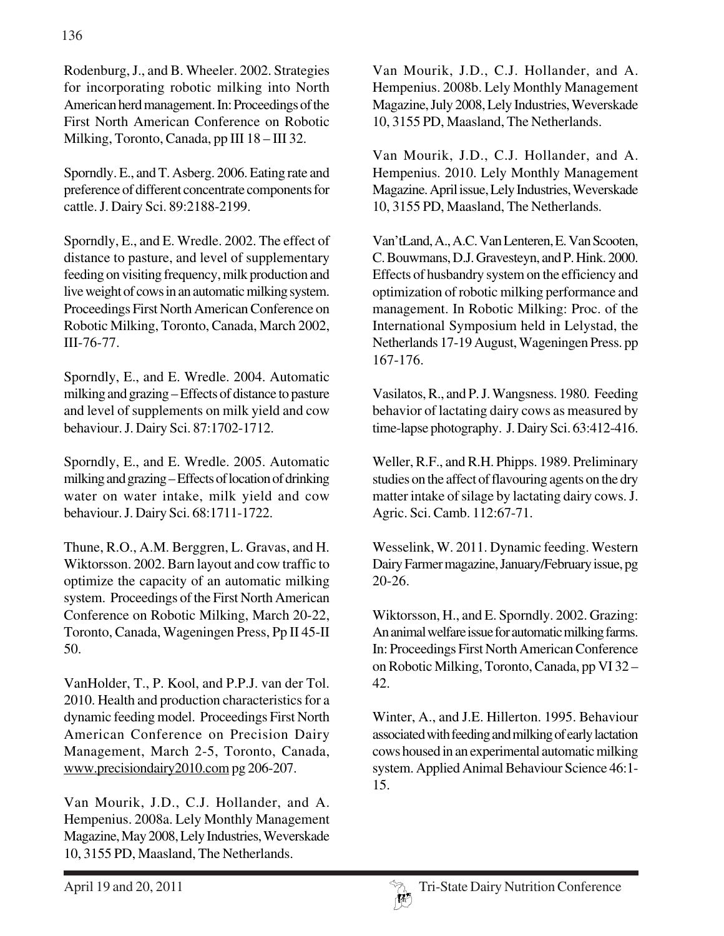Rodenburg, J., and B. Wheeler. 2002. Strategies for incorporating robotic milking into North American herd management. In: Proceedings of the First North American Conference on Robotic Milking, Toronto, Canada, pp III 18 – III 32.

Sporndly. E., and T. Asberg. 2006. Eating rate and preference of different concentrate components for cattle. J. Dairy Sci. 89:2188-2199.

Sporndly, E., and E. Wredle. 2002. The effect of distance to pasture, and level of supplementary feeding on visiting frequency, milk production and live weight of cows in an automatic milking system. Proceedings First North American Conference on Robotic Milking, Toronto, Canada, March 2002, III-76-77.

Sporndly, E., and E. Wredle. 2004. Automatic milking and grazing – Effects of distance to pasture and level of supplements on milk yield and cow behaviour. J. Dairy Sci. 87:1702-1712.

Sporndly, E., and E. Wredle. 2005. Automatic milking and grazing – Effects of location of drinking water on water intake, milk yield and cow behaviour. J. Dairy Sci. 68:1711-1722.

Thune, R.O., A.M. Berggren, L. Gravas, and H. Wiktorsson. 2002. Barn layout and cow traffic to optimize the capacity of an automatic milking system. Proceedings of the First North American Conference on Robotic Milking, March 20-22, Toronto, Canada, Wageningen Press, Pp II 45-II 50.

VanHolder, T., P. Kool, and P.P.J. van der Tol. 2010. Health and production characteristics for a dynamic feeding model. Proceedings First North American Conference on Precision Dairy Management, March 2-5, Toronto, Canada, www.precisiondairy2010.com pg 206-207.

Van Mourik, J.D., C.J. Hollander, and A. Hempenius. 2008a. Lely Monthly Management Magazine, May 2008, Lely Industries, Weverskade 10, 3155 PD, Maasland, The Netherlands.

Van Mourik, J.D., C.J. Hollander, and A. Hempenius. 2008b. Lely Monthly Management Magazine, July 2008, Lely Industries, Weverskade 10, 3155 PD, Maasland, The Netherlands.

Van Mourik, J.D., C.J. Hollander, and A. Hempenius. 2010. Lely Monthly Management Magazine. April issue, Lely Industries, Weverskade 10, 3155 PD, Maasland, The Netherlands.

Van'tLand, A., A.C. Van Lenteren, E. Van Scooten, C. Bouwmans, D.J. Gravesteyn, and P. Hink. 2000. Effects of husbandry system on the efficiency and optimization of robotic milking performance and management. In Robotic Milking: Proc. of the International Symposium held in Lelystad, the Netherlands 17-19 August, Wageningen Press. pp 167-176.

Vasilatos, R., and P. J. Wangsness. 1980. Feeding behavior of lactating dairy cows as measured by time-lapse photography. J. Dairy Sci. 63:412-416.

Weller, R.F., and R.H. Phipps. 1989. Preliminary studies on the affect of flavouring agents on the dry matter intake of silage by lactating dairy cows. J. Agric. Sci. Camb. 112:67-71.

Wesselink, W. 2011. Dynamic feeding. Western Dairy Farmer magazine, January/February issue, pg 20-26.

Wiktorsson, H., and E. Sporndly. 2002. Grazing: An animal welfare issue for automatic milking farms. In: Proceedings First North American Conference on Robotic Milking, Toronto, Canada, pp VI 32 – 42.

Winter, A., and J.E. Hillerton. 1995. Behaviour associated with feeding and milking of early lactation cows housed in an experimental automatic milking system. Applied Animal Behaviour Science 46:1- 15.

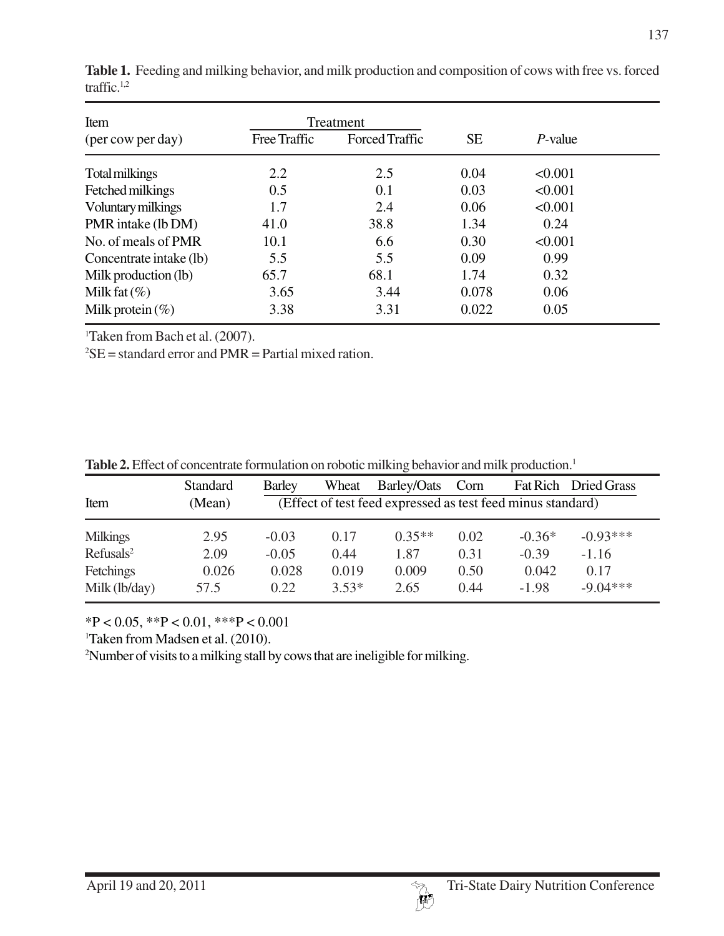| Item                    |              | Treatment             |           |            |  |
|-------------------------|--------------|-----------------------|-----------|------------|--|
| (per cow per day)       | Free Traffic | <b>Forced Traffic</b> | <b>SE</b> | $P$ -value |  |
| Total milkings          | 2.2          | 2.5                   | 0.04      | < 0.001    |  |
| Fetched milkings        | 0.5          | 0.1                   | 0.03      | < 0.001    |  |
| Voluntary milkings      | 1.7          | 2.4                   | 0.06      | < 0.001    |  |
| PMR intake (lb DM)      | 41.0         | 38.8                  | 1.34      | 0.24       |  |
| No. of meals of PMR     | 10.1         | 6.6                   | 0.30      | < 0.001    |  |
| Concentrate intake (lb) | 5.5          | 5.5                   | 0.09      | 0.99       |  |
| Milk production (lb)    | 65.7         | 68.1                  | 1.74      | 0.32       |  |
| Milk fat $(\%)$         | 3.65         | 3.44                  | 0.078     | 0.06       |  |
| Milk protein $(\%)$     | 3.38         | 3.31                  | 0.022     | 0.05       |  |

Table 1. Feeding and milking behavior, and milk production and composition of cows with free vs. forced traffic.1,2

1 Taken from Bach et al. (2007).

 ${}^{2}$ SE = standard error and PMR = Partial mixed ration.

| Table 2. Effect of concentrate formulation on robotic milking behavior and milk production. <sup>1</sup> |  |
|----------------------------------------------------------------------------------------------------------|--|
|----------------------------------------------------------------------------------------------------------|--|

|                       | <b>Standard</b> | <b>Barley</b>                                               | Wheat   | Barley/Oats | Corn | <b>Fat Rich</b> | Dried Grass |
|-----------------------|-----------------|-------------------------------------------------------------|---------|-------------|------|-----------------|-------------|
| Item                  | (Mean)          | (Effect of test feed expressed as test feed minus standard) |         |             |      |                 |             |
| <b>Milkings</b>       | 2.95            | $-0.03$                                                     | 0.17    | $0.35**$    | 0.02 | $-0.36*$        | $-0.93***$  |
| Refusals <sup>2</sup> | 2.09            | $-0.05$                                                     | 0.44    | 1.87        | 0.31 | $-0.39$         | $-1.16$     |
| Fetchings             | 0.026           | 0.028                                                       | 0.019   | 0.009       | 0.50 | 0.042           | 0.17        |
| Milk (lb/day)         | 57.5            | 0.22                                                        | $3.53*$ | 2.65        | 0.44 | $-1.98$         | $-9.04***$  |

\*P < 0.05, \*\*P < 0.01, \*\*\*P < 0.001

1 Taken from Madsen et al. (2010).

2 Number of visits to a milking stall by cows that are ineligible for milking.